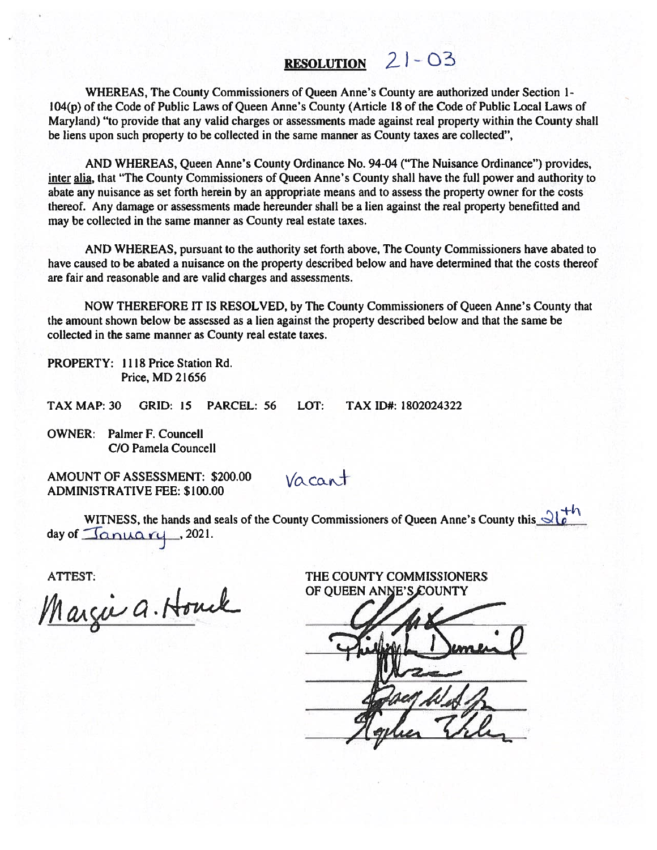# RESOLUTION  $21 - 03$

WHEREAS, The County Commissioners of Queen Anne's County are authorized under Section 1- 104(p) of the Code of Public Laws of Queen Anne's County (Article 18 of the Code of Public Local Laws of Maryland) "to provide that any valid charges or assessments made against real property within the County shall be liens upon such property to be collected in the same manner as County taxes are collected",

AND WHEREAS, Queen Anne's County Ordinance No. 94-04 ("The Nuisance Ordinance") provides, inter alia, that "The County Commissioners of Queen Anne's County shall have the full power and authority to abate any nuisance as set forth herein by an appropriate means and to assess the property owner for the costs thereof. Any damage or assessments made hereunder shall be <sup>a</sup> lien against the real property benefitted and may be collected in the same manner as County real estate taxes.

AND WHEREAS, pursuan<sup>t</sup> to the authority set forth above, The County Commissioners have abated to have caused to be abated <sup>a</sup> nuisance on the property described below and have determined that the costs thereof are fair and reasonable and are valid charges and assessments.

NOW THEREFORE IT IS RESOLVED, by The County Commissioners of Queen Anne's County that the amount shown below be assessed as <sup>a</sup> lien against the property described below and that the same be collected in the same manner as County real estate taxes.

PROPERTY: 1118 Price Station Rd. Price, MD 21656

TAX MAP: 30 GRID: 15 PARCEL: 56 LOT: TAX ID#: 1802024322

OWNER: Palmer F. Councell C/O Pamela Councell

AMOUNT OF ASSESSMENT: \$200.00 ADMINISTRATIVE FEE: \$100.00

 $Vacant$ 

WITNESS, the hands and seals of the County Commissioners of Queen Anne's County this  $\mathcal{A}^{\dagger h}$ day of  $\Delta$ nuary , 2021.

ATTEST: THE COUNTY COMMISSIONERS

Margie a. Houck

OF QUEEN ANNE'S COUNTY

Boy West 2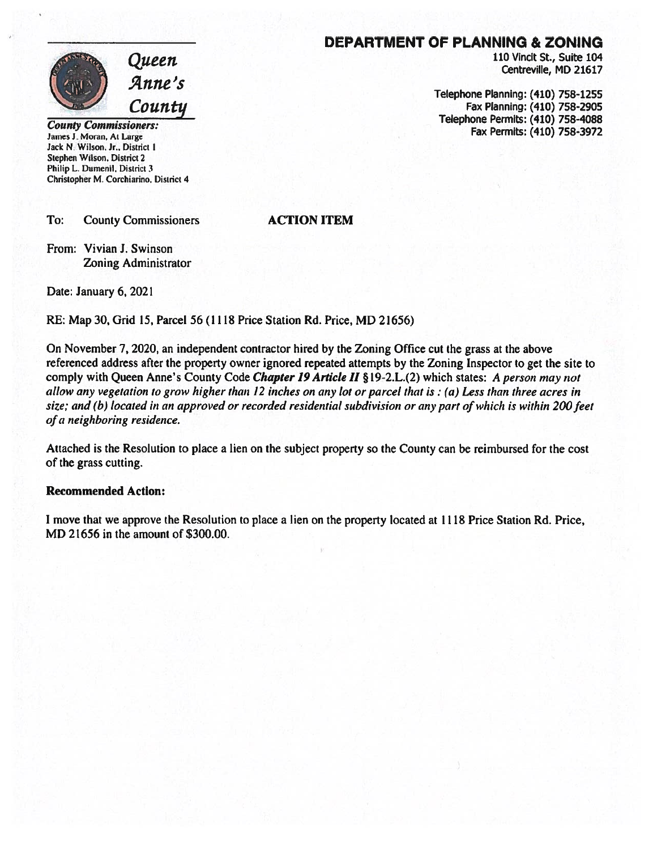

Jack N. Wilson. Jr., District 1 Stephen Wilson, District 2 Philip L. Dumenil. District 3 Christopher M. Corchiarino, District 4

To: County Commissioners **ACTION ITEM** 

From: Vivian J. Swinson Zoning Administrator

Date: January 6, 2021

RE: Map 30, Grid 15, Parcel 56 (1118 Price Station Rd. Price, MD 21656)

On November 7, 2020, an independent contractor hired by the Zoning Office cut the grass at the above referenced address after the property owner ignored repeated attempts by the Zoning Inspector to ge<sup>t</sup> the site to comply with Queen Anne's County Code Chapter 19 Article II §19-2.L.(2) which states: A person may not allow any vegetation to grow higher than 12 inches on any lot or parcel that is: (a) Less than three acres in size; and (b) located in an approved or recorded residential subdivision or any part of which is within 200 feet of <sup>a</sup> neighboring residence.

Attached is the Resolution to place <sup>a</sup> lien on the subject property so the County can be reimbursed for the cost of the grass cutting.

#### Recommended Action:

I move that we approve the Resolution to place <sup>a</sup> lien on the property located at 1118 Price Station Rd. Price, MD 21656 in the amount of \$300.00.

### DEPARTMENT OF PLANNING & ZONING

 $\mathcal{Q} \mu$ een 110 Vincit St., Suite 104 Centreville, MD 21617

Telephone Planning: (410) 758-1255<br>Fax Planning: (410) 758-2905<br>County Commissioners: Fax Permits: (410) 758-4088<br>Fax Permits: (410) 758-3972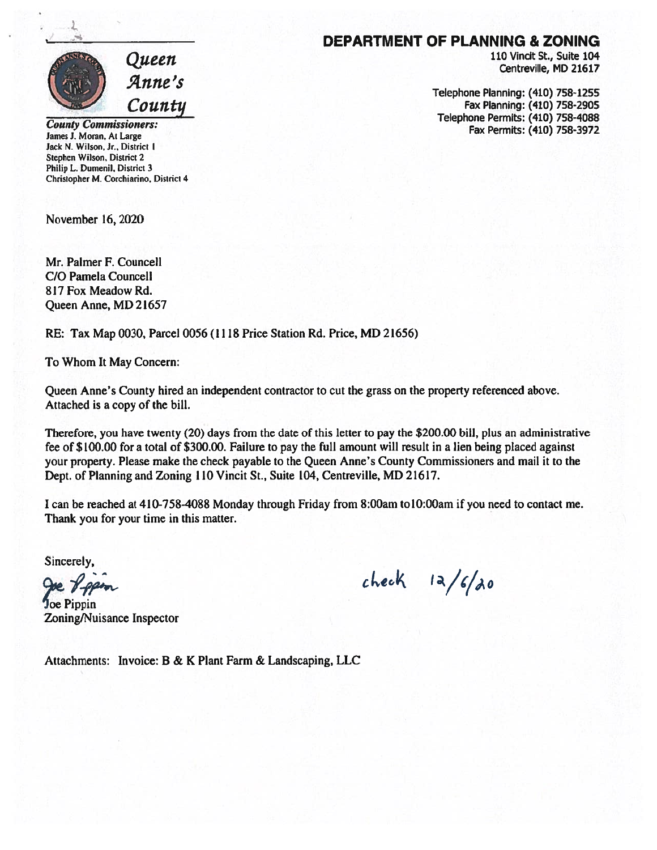

County Commissioners: James J. Moran, At Large Jack N. Wilson, Jr., District I Stephen Wilson, District 2 Philip L. Dumenil, District 3 Christopher M. Corchiarino. District 4

November 16, 2020

Mr. Palmer F. Councell C/O Pamela Councell 817 Fox Meadow Rd. Queen Anne, MD 21657

RE: Tax Map 0030, Parcel 0056(1118 Price Station Rd. Price, MD 21656)

To Whom It May Concern:

Queen Anne's County hired an independent contractor to cut the grass on the property referenced above. Attached is <sup>a</sup> copy of the bill.

Therefore, you have twenty (20) days from the date of this letter to pay the \$200.00 bill, plus an administrative fee of \$100.00 for <sup>a</sup> total of \$300.00. Failure to pay the full amount will result in <sup>a</sup> lien being placed against your property. Please make the check payable to the Queen Anne's County Commissioners and mail it to the Dept. of Planning and Zoning 110 Vincit St., Suite 104, Centreville, MD 21617.

I can be reached at 410-758-4088 Monday through Friday from 8:00am tolO:OOam if you need to contact me. Thank you for your time in this matter.

Sincerely,

')oe Pippin Zoning/Nuisance Inspector

 $check$   $1a/f/d0$ 

Attachments: Invoice: B & K Plant Farm & Landscaping, LLC

#### DEPARTMENT OF PLANNING & ZONING

110 Vincit St., Suite 104 Centreville, MD 21617

Telephone Planning: (410) 758-1255 Fax Planning: (410) 758-2905 Telephone Permits: (410) 758-4088 Fax Permits: (410) 758-3972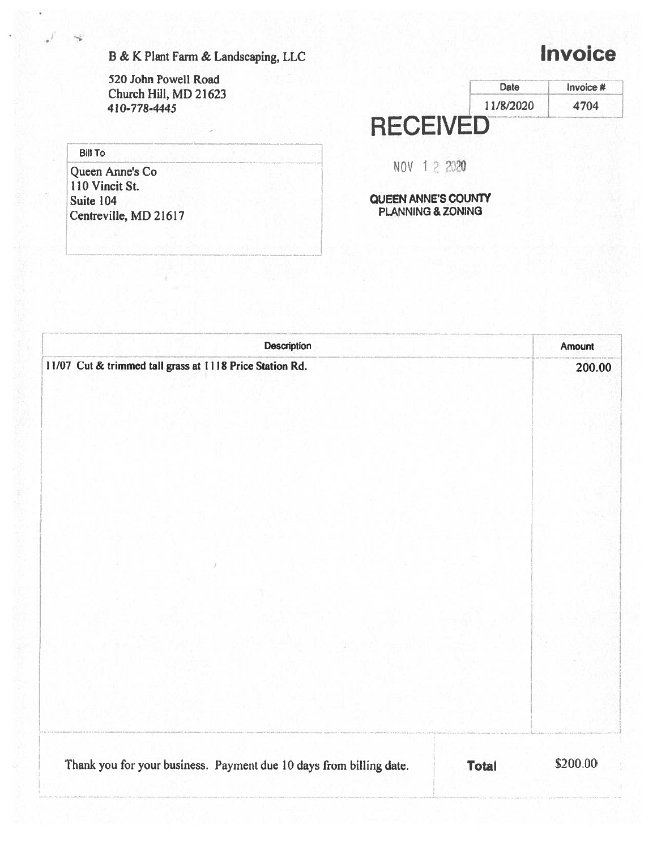B & K Plant Farm & Landscaping, LLC

520 John Powell Road Church Hill, MD 21623 410-778-4445

#### **Bill To**

I

Queen Anne's Co 110 Vincit St. Suite 104 Centreville, MD 21617

## 11/8/2020 **RECEIVED** Date Invoice # 4704

NOV 12 2020

QUEEN ANNE'S COUNTY PLANNING & ZONING

|                                                                     | Description | Amount                   |
|---------------------------------------------------------------------|-------------|--------------------------|
| 11/07 Cut & trimmed tall grass at 1118 Price Station Rd.            |             | 200.00                   |
|                                                                     |             |                          |
|                                                                     |             |                          |
|                                                                     |             |                          |
|                                                                     |             |                          |
|                                                                     |             |                          |
|                                                                     |             |                          |
|                                                                     |             |                          |
|                                                                     |             |                          |
| Thank you for your business. Payment due 10 days from billing date. |             | \$200.00<br><b>Total</b> |

# **Invoice**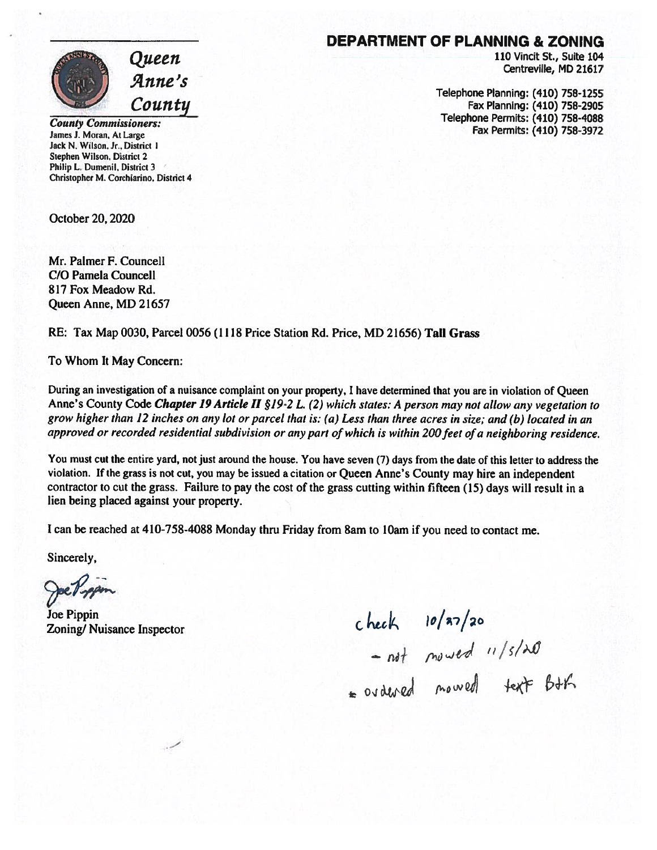

110 Vincit St., Suite 104 Centreville, MD 21617

Telephone Planning: (410) 758-1255 Fax Planning: (410) 758-2905 Telephone Permits: (410) 758-4088 Fax Permits: (410) 758-3972



County commissioners: James J. Moran. At Large Jack N. Wilson. Jr.. District I Stephen Wilson, District 2 Philip L. Dumenil, District 3 Christopher M. Corchiarino, District 4

October 20, 2020

Mr. Palmer F. Councell CIO Pamela Councell 817 Fox Meadow Rd. Queen Anne, MD 21657

RE: Tax Map 0030, Parcel 0056 (1118 Price Station Rd. Price, MD 21656) Tall Grass

To Whom It May Concern:

During an investigation of <sup>a</sup> nuisance complaint on your property, <sup>I</sup> have determined that you are in violation of Queen Anne's County Code Chapter 19 Article II §19-2 L. (2) which states: A person may not allow any vegetation to grow higher than <sup>12</sup> inches on any lot or parcel that is: (a) Less than three acres in site; and (b) located in an approved or recorded residential subdivision or any part of which is within 200 feet of a neighboring residence.

You must cut the entire yard, not just around the house. You have seven (7) days from the date of this letter to address the violation. If the grass is not cut, you may be issued <sup>a</sup> citation or Queen Anne's County may hire an independent contractor to cut the grass. Failure to pay the cost of the grass cutting within fifteen (15) days will result in <sup>a</sup> lien being placed against your property.

<sup>I</sup> can be reached at 410-758-4088 Monday thru Friday from 8am to lOam if you need to contact me.

Sincerely,

Joe Pippin

Joe Pippin<br>Zoning/ Nuisance Inspector<br>- not moved 11/5/20<br>= ovdered moved text Bth